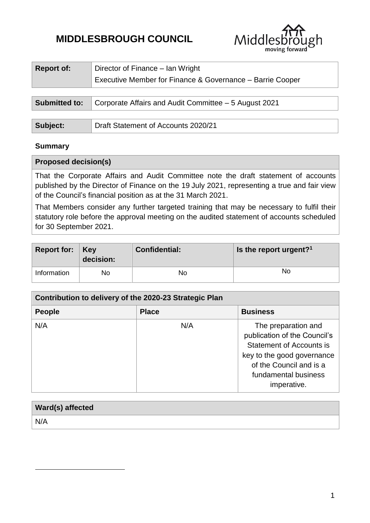# **MIDDLESBROUGH COUNCIL**



| <b>Report of:</b>    | Director of Finance - Ian Wright<br>Executive Member for Finance & Governance – Barrie Cooper |
|----------------------|-----------------------------------------------------------------------------------------------|
| <b>Submitted to:</b> | Corporate Affairs and Audit Committee - 5 August 2021                                         |

| Subject: | Draft Statement of Accounts 2020/21 |
|----------|-------------------------------------|
|          |                                     |

# **Summary**

1

## **Proposed decision(s)**

That the Corporate Affairs and Audit Committee note the draft statement of accounts published by the Director of Finance on the 19 July 2021, representing a true and fair view of the Council's financial position as at the 31 March 2021.

That Members consider any further targeted training that may be necessary to fulfil their statutory role before the approval meeting on the audited statement of accounts scheduled for 30 September 2021.

| Report for: $\vert$ Key | decision: | <b>Confidential:</b> | Is the report urgent? <sup>1</sup> |
|-------------------------|-----------|----------------------|------------------------------------|
| Information             | No        | No                   | No                                 |

| Contribution to delivery of the 2020-23 Strategic Plan |              |                                                                                                                                                                                        |  |  |
|--------------------------------------------------------|--------------|----------------------------------------------------------------------------------------------------------------------------------------------------------------------------------------|--|--|
| <b>People</b>                                          | <b>Place</b> | <b>Business</b>                                                                                                                                                                        |  |  |
| N/A                                                    | N/A          | The preparation and<br>publication of the Council's<br><b>Statement of Accounts is</b><br>key to the good governance<br>of the Council and is a<br>fundamental business<br>imperative. |  |  |

| Ward(s) affected |  |
|------------------|--|
| N/A              |  |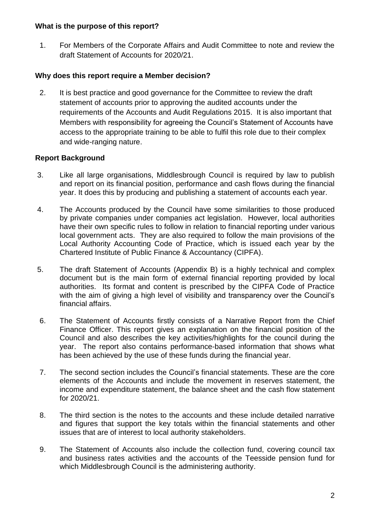# **What is the purpose of this report?**

1. For Members of the Corporate Affairs and Audit Committee to note and review the draft Statement of Accounts for 2020/21.

# **Why does this report require a Member decision?**

2. It is best practice and good governance for the Committee to review the draft statement of accounts prior to approving the audited accounts under the requirements of the Accounts and Audit Regulations 2015. It is also important that Members with responsibility for agreeing the Council's Statement of Accounts have access to the appropriate training to be able to fulfil this role due to their complex and wide-ranging nature.

# **Report Background**

- 3. Like all large organisations, Middlesbrough Council is required by law to publish and report on its financial position, performance and cash flows during the financial year. It does this by producing and publishing a statement of accounts each year.
- 4. The Accounts produced by the Council have some similarities to those produced by private companies under companies act legislation. However, local authorities have their own specific rules to follow in relation to financial reporting under various local government acts. They are also required to follow the main provisions of the Local Authority Accounting Code of Practice, which is issued each year by the Chartered Institute of Public Finance & Accountancy (CIPFA).
- 5. The draft Statement of Accounts (Appendix B) is a highly technical and complex document but is the main form of external financial reporting provided by local authorities. Its format and content is prescribed by the CIPFA Code of Practice with the aim of giving a high level of visibility and transparency over the Council's financial affairs.
- 6. The Statement of Accounts firstly consists of a Narrative Report from the Chief Finance Officer. This report gives an explanation on the financial position of the Council and also describes the key activities/highlights for the council during the year. The report also contains performance-based information that shows what has been achieved by the use of these funds during the financial year.
- 7. The second section includes the Council's financial statements. These are the core elements of the Accounts and include the movement in reserves statement, the income and expenditure statement, the balance sheet and the cash flow statement for 2020/21.
- 8. The third section is the notes to the accounts and these include detailed narrative and figures that support the key totals within the financial statements and other issues that are of interest to local authority stakeholders.
- 9. The Statement of Accounts also include the collection fund, covering council tax and business rates activities and the accounts of the Teesside pension fund for which Middlesbrough Council is the administering authority.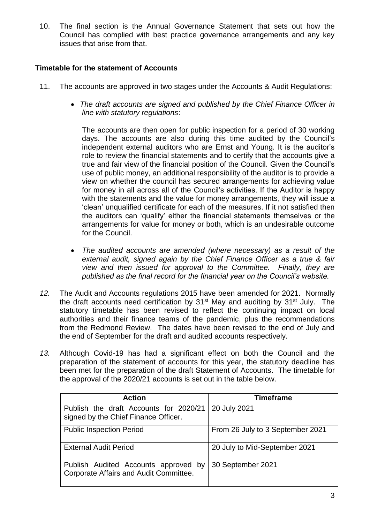10. The final section is the Annual Governance Statement that sets out how the Council has complied with best practice governance arrangements and any key issues that arise from that.

# **Timetable for the statement of Accounts**

- 11. The accounts are approved in two stages under the Accounts & Audit Regulations:
	- *The draft accounts are signed and published by the Chief Finance Officer in line with statutory regulations*:

The accounts are then open for public inspection for a period of 30 working days. The accounts are also during this time audited by the Council's independent external auditors who are Ernst and Young. It is the auditor's role to review the financial statements and to certify that the accounts give a true and fair view of the financial position of the Council. Given the Council's use of public money, an additional responsibility of the auditor is to provide a view on whether the council has secured arrangements for achieving value for money in all across all of the Council's activities. If the Auditor is happy with the statements and the value for money arrangements, they will issue a 'clean' unqualified certificate for each of the measures. If it not satisfied then the auditors can 'qualify' either the financial statements themselves or the arrangements for value for money or both, which is an undesirable outcome for the Council.

- *The audited accounts are amended (where necessary) as a result of the external audit, signed again by the Chief Finance Officer as a true & fair view and then issued for approval to the Committee. Finally, they are published as the final record for the financial year on the Council's website.*
- *12.* The Audit and Accounts regulations 2015 have been amended for 2021. Normally the draft accounts need certification by  $31<sup>st</sup>$  May and auditing by  $31<sup>st</sup>$  July. The statutory timetable has been revised to reflect the continuing impact on local authorities and their finance teams of the pandemic, plus the recommendations from the Redmond Review. The dates have been revised to the end of July and the end of September for the draft and audited accounts respectively.
- *13.* Although Covid-19 has had a significant effect on both the Council and the preparation of the statement of accounts for this year, the statutory deadline has been met for the preparation of the draft Statement of Accounts. The timetable for the approval of the 2020/21 accounts is set out in the table below.

| <b>Action</b>                                                                  | <b>Timeframe</b>                 |
|--------------------------------------------------------------------------------|----------------------------------|
| Publish the draft Accounts for 2020/21<br>signed by the Chief Finance Officer. | 20 July 2021                     |
| <b>Public Inspection Period</b>                                                | From 26 July to 3 September 2021 |
| <b>External Audit Period</b>                                                   | 20 July to Mid-September 2021    |
| Publish Audited Accounts approved by<br>Corporate Affairs and Audit Committee. | 30 September 2021                |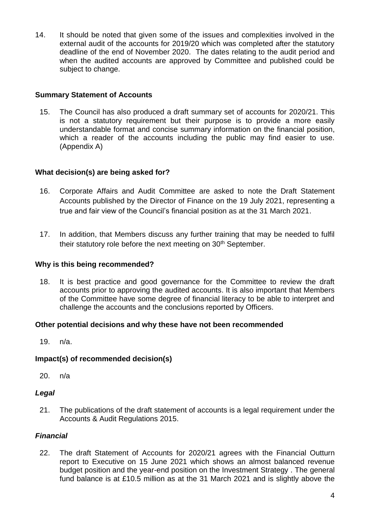14. It should be noted that given some of the issues and complexities involved in the external audit of the accounts for 2019/20 which was completed after the statutory deadline of the end of November 2020. The dates relating to the audit period and when the audited accounts are approved by Committee and published could be subject to change.

# **Summary Statement of Accounts**

15. The Council has also produced a draft summary set of accounts for 2020/21. This is not a statutory requirement but their purpose is to provide a more easily understandable format and concise summary information on the financial position, which a reader of the accounts including the public may find easier to use. (Appendix A)

# **What decision(s) are being asked for?**

- 16. Corporate Affairs and Audit Committee are asked to note the Draft Statement Accounts published by the Director of Finance on the 19 July 2021, representing a true and fair view of the Council's financial position as at the 31 March 2021.
- 17. In addition, that Members discuss any further training that may be needed to fulfil their statutory role before the next meeting on 30<sup>th</sup> September.

#### **Why is this being recommended?**

18. It is best practice and good governance for the Committee to review the draft accounts prior to approving the audited accounts. It is also important that Members of the Committee have some degree of financial literacy to be able to interpret and challenge the accounts and the conclusions reported by Officers.

#### **Other potential decisions and why these have not been recommended**

19. n/a.

# **Impact(s) of recommended decision(s)**

20. n/a

#### *Legal*

21. The publications of the draft statement of accounts is a legal requirement under the Accounts & Audit Regulations 2015.

### *Financial*

22. The draft Statement of Accounts for 2020/21 agrees with the Financial Outturn report to Executive on 15 June 2021 which shows an almost balanced revenue budget position and the year-end position on the Investment Strategy . The general fund balance is at £10.5 million as at the 31 March 2021 and is slightly above the